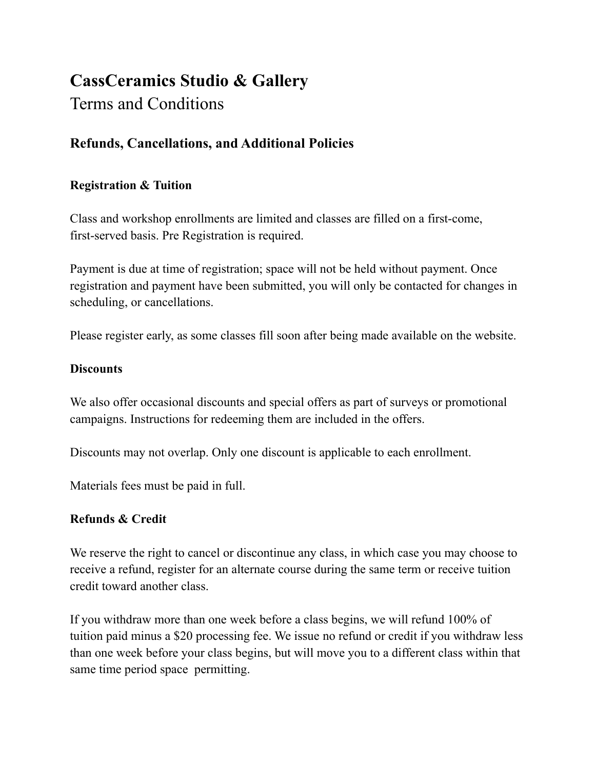# **CassCeramics Studio & Gallery**

## Terms and Conditions

### **Refunds, Cancellations, and Additional Policies**

#### **Registration & Tuition**

Class and workshop enrollments are limited and classes are filled on a first-come, first-served basis. Pre Registration is required.

Payment is due at time of registration; space will not be held without payment. Once registration and payment have been submitted, you will only be contacted for changes in scheduling, or cancellations.

Please register early, as some classes fill soon after being made available on the website.

#### **Discounts**

We also offer occasional discounts and special offers as part of surveys or promotional campaigns. Instructions for redeeming them are included in the offers.

Discounts may not overlap. Only one discount is applicable to each enrollment.

Materials fees must be paid in full.

#### **Refunds & Credit**

We reserve the right to cancel or discontinue any class, in which case you may choose to receive a refund, register for an alternate course during the same term or receive tuition credit toward another class.

If you withdraw more than one week before a class begins, we will refund 100% of tuition paid minus a \$20 processing fee. We issue no refund or credit if you withdraw less than one week before your class begins, but will move you to a different class within that same time period space permitting.